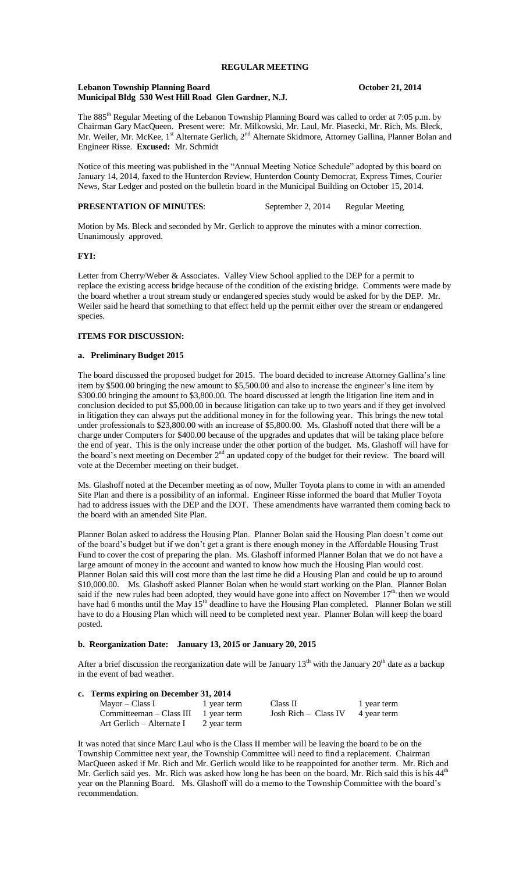### **Lebanon Township Planning Board October 21, 2014 Municipal Bldg 530 West Hill Road Glen Gardner, N.J.**

The 885<sup>th</sup> Regular Meeting of the Lebanon Township Planning Board was called to order at 7:05 p.m. by Chairman Gary MacQueen. Present were: Mr. Milkowski, Mr. Laul, Mr. Piasecki, Mr. Rich, Ms. Bleck, Mr. Weiler, Mr. McKee, 1<sup>st</sup> Alternate Gerlich, 2<sup>nd</sup> Alternate Skidmore, Attorney Gallina, Planner Bolan and Engineer Risse. **Excused:** Mr. Schmidt

Notice of this meeting was published in the "Annual Meeting Notice Schedule" adopted by this board on January 14, 2014, faxed to the Hunterdon Review, Hunterdon County Democrat, Express Times, Courier News, Star Ledger and posted on the bulletin board in the Municipal Building on October 15, 2014.

## **PRESENTATION OF MINUTES:** September 2, 2014 Regular Meeting

Motion by Ms. Bleck and seconded by Mr. Gerlich to approve the minutes with a minor correction. Unanimously approved.

#### **FYI:**

Letter from Cherry/Weber & Associates. Valley View School applied to the DEP for a permit to replace the existing access bridge because of the condition of the existing bridge. Comments were made by the board whether a trout stream study or endangered species study would be asked for by the DEP. Mr. Weiler said he heard that something to that effect held up the permit either over the stream or endangered species.

### **ITEMS FOR DISCUSSION:**

#### **a. Preliminary Budget 2015**

The board discussed the proposed budget for 2015. The board decided to increase Attorney Gallina's line item by \$500.00 bringing the new amount to \$5,500.00 and also to increase the engineer's line item by \$300.00 bringing the amount to \$3,800.00. The board discussed at length the litigation line item and in conclusion decided to put \$5,000.00 in because litigation can take up to two years and if they get involved in litigation they can always put the additional money in for the following year. This brings the new total under professionals to \$23,800.00 with an increase of \$5,800.00. Ms. Glashoff noted that there will be a charge under Computers for \$400.00 because of the upgrades and updates that will be taking place before the end of year. This is the only increase under the other portion of the budget. Ms. Glashoff will have for the board's next meeting on December  $2<sup>nd</sup>$  an updated copy of the budget for their review. The board will vote at the December meeting on their budget.

Ms. Glashoff noted at the December meeting as of now, Muller Toyota plans to come in with an amended Site Plan and there is a possibility of an informal. Engineer Risse informed the board that Muller Toyota had to address issues with the DEP and the DOT. These amendments have warranted them coming back to the board with an amended Site Plan.

Planner Bolan asked to address the Housing Plan. Planner Bolan said the Housing Plan doesn't come out of the board's budget but if we don't get a grant is there enough money in the Affordable Housing Trust Fund to cover the cost of preparing the plan. Ms. Glashoff informed Planner Bolan that we do not have a large amount of money in the account and wanted to know how much the Housing Plan would cost. Planner Bolan said this will cost more than the last time he did a Housing Plan and could be up to around \$10,000.00. Ms. Glashoff asked Planner Bolan when he would start working on the Plan. Planner Bolan said if the new rules had been adopted, they would have gone into affect on November  $17<sup>th</sup>$ , then we would have had 6 months until the May  $15<sup>th</sup>$  deadline to have the Housing Plan completed. Planner Bolan we still have to do a Housing Plan which will need to be completed next year. Planner Bolan will keep the board posted.

## **b. Reorganization Date: January 13, 2015 or January 20, 2015**

After a brief discussion the reorganization date will be January  $13<sup>th</sup>$  with the January  $20<sup>th</sup>$  date as a backup in the event of bad weather.

# **c. Terms expiring on December 31, 2014**

| Mayor – Class I                        | 1 year term | Class II               | 1 year term |
|----------------------------------------|-------------|------------------------|-------------|
| Committeeman $-$ Class III 1 year term |             | Josh Rich $-$ Class IV | 4 year term |
| Art Gerlich – Alternate I              | 2 year term |                        |             |

It was noted that since Marc Laul who is the Class II member will be leaving the board to be on the Township Committee next year, the Township Committee will need to find a replacement. Chairman MacQueen asked if Mr. Rich and Mr. Gerlich would like to be reappointed for another term. Mr. Rich and Mr. Gerlich said yes. Mr. Rich was asked how long he has been on the board. Mr. Rich said this is his  $44<sup>th</sup>$ year on the Planning Board. Ms. Glashoff will do a memo to the Township Committee with the board's recommendation.